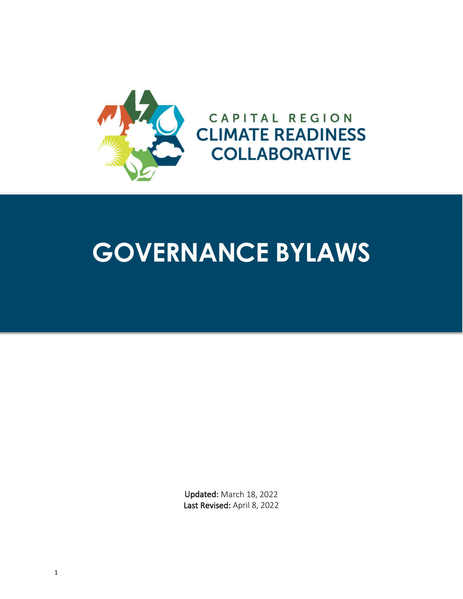

# **GOVERNANCE BYLAWS**

Updated: March 18, 2022 Last Revised: April 8, 2022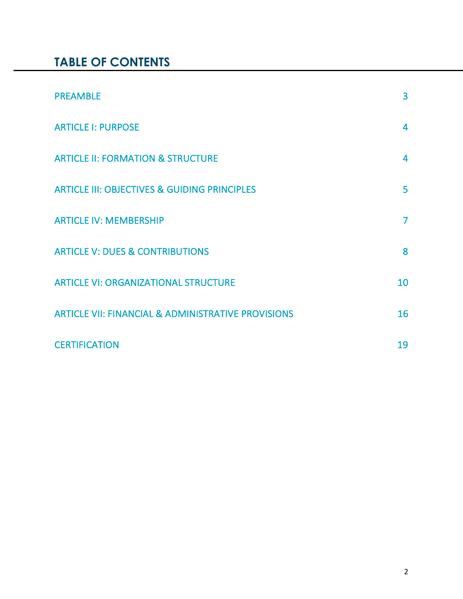# **TABLE OF CONTENTS**

| <b>PREAMBLE</b>                                               | $\overline{3}$ |
|---------------------------------------------------------------|----------------|
| <b>ARTICLE I: PURPOSE</b>                                     | 4              |
| <b>ARTICLE II: FORMATION &amp; STRUCTURE</b>                  | 4              |
| <b>ARTICLE III: OBJECTIVES &amp; GUIDING PRINCIPLES</b>       | 5              |
| <b>ARTICLE IV: MEMBERSHIP</b>                                 | $\overline{7}$ |
| <b>ARTICLE V: DUES &amp; CONTRIBUTIONS</b>                    | 8              |
| <b>ARTICLE VI: ORGANIZATIONAL STRUCTURE</b>                   | 10             |
| <b>ARTICLE VII: FINANCIAL &amp; ADMINISTRATIVE PROVISIONS</b> | 16             |
| <b>CERTIFICATION</b>                                          | 19             |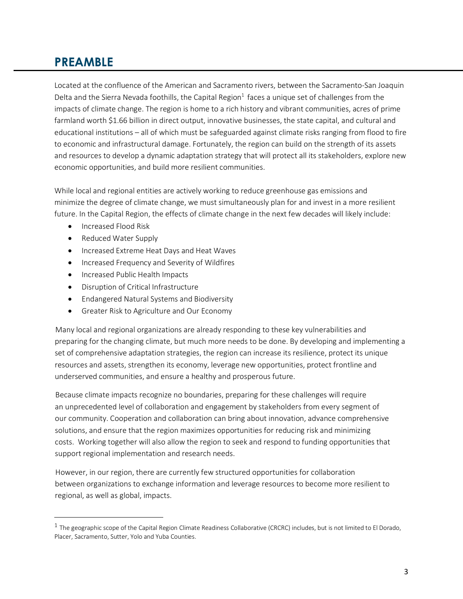## **PREAMBLE**

Located at the confluence of the American and Sacramento rivers, between the Sacramento-San Joaquin Delta and the Sierra Nevada foothills, the Capital Region $<sup>1</sup>$  faces a unique set of challenges from the</sup> impacts of climate change. The region is home to a rich history and vibrant communities, acres of prime farmland worth \$1.66 billion in direct output, innovative businesses, the state capital, and cultural and educational institutions – all of which must be safeguarded against climate risks ranging from flood to fire to economic and infrastructural damage. Fortunately, the region can build on the strength of its assets and resources to develop a dynamic adaptation strategy that will protect all its stakeholders, explore new economic opportunities, and build more resilient communities.

While local and regional entities are actively working to reduce greenhouse gas emissions and minimize the degree of climate change, we must simultaneously plan for and invest in a more resilient future. In the Capital Region, the effects of climate change in the next few decades will likely include:

• Increased Flood Risk

 $\overline{a}$ 

- Reduced Water Supply
- Increased Extreme Heat Days and Heat Waves
- Increased Frequency and Severity of Wildfires
- Increased Public Health Impacts
- Disruption of Critical Infrastructure
- Endangered Natural Systems and Biodiversity
- Greater Risk to Agriculture and Our Economy

Many local and regional organizations are already responding to these key vulnerabilities and preparing for the changing climate, but much more needs to be done. By developing and implementing a set of comprehensive adaptation strategies, the region can increase its resilience, protect its unique resources and assets, strengthen its economy, leverage new opportunities, protect frontline and underserved communities, and ensure a healthy and prosperous future.

Because climate impacts recognize no boundaries, preparing for these challenges will require an unprecedented level of collaboration and engagement by stakeholders from every segment of our community. Cooperation and collaboration can bring about innovation, advance comprehensive solutions, and ensure that the region maximizes opportunities for reducing risk and minimizing costs. Working together will also allow the region to seek and respond to funding opportunities that support regional implementation and research needs.

However, in our region, there are currently few structured opportunities for collaboration between organizations to exchange information and leverage resources to become more resilient to regional, as well as global, impacts.

 $1$  The geographic scope of the Capital Region Climate Readiness Collaborative (CRCRC) includes, but is not limited to El Dorado, Placer, Sacramento, Sutter, Yolo and Yuba Counties.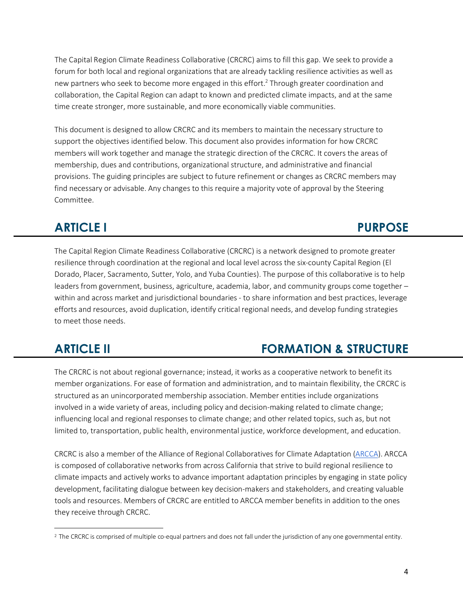The Capital Region Climate Readiness Collaborative (CRCRC) aims to fill this gap. We seek to provide a forum for both local and regional organizations that are already tackling resilience activities as well as new partners who seek to become more engaged in this effort.<sup>2</sup> Through greater coordination and collaboration, the Capital Region can adapt to known and predicted climate impacts, and at the same time create stronger, more sustainable, and more economically viable communities.

This document is designed to allow CRCRC and its members to maintain the necessary structure to support the objectives identified below. This document also provides information for how CRCRC members will work together and manage the strategic direction of the CRCRC. It covers the areas of membership, dues and contributions, organizational structure, and administrative and financial provisions. The guiding principles are subject to future refinement or changes as CRCRC members may find necessary or advisable. Any changes to this require a majority vote of approval by the Steering Committee.

# **ARTICLE I** PURPOSE

The Capital Region Climate Readiness Collaborative (CRCRC) is a network designed to promote greater resilience through coordination at the regional and local level across the six-county Capital Region (El Dorado, Placer, Sacramento, Sutter, Yolo, and Yuba Counties). The purpose of this collaborative is to help leaders from government, business, agriculture, academia, labor, and community groups come together – within and across market and jurisdictional boundaries - to share information and best practices, leverage efforts and resources, avoid duplication, identify critical regional needs, and develop funding strategies to meet those needs.

 $\overline{a}$ 

# **ARTICLE II FORMATION & STRUCTURE**

The CRCRC is not about regional governance; instead, it works as a cooperative network to benefit its member organizations. For ease of formation and administration, and to maintain flexibility, the CRCRC is structured as an unincorporated membership association. Member entities include organizations involved in a wide variety of areas, including policy and decision-making related to climate change; influencing local and regional responses to climate change; and other related topics, such as, but not limited to, transportation, public health, environmental justice, workforce development, and education.

CRCRC is also a member of the Alliance of Regional Collaboratives for Climate Adaptation (ARCCA). ARCCA is composed of collaborative networks from across California that strive to build regional resilience to climate impacts and actively works to advance important adaptation principles by engaging in state policy development, facilitating dialogue between key decision-makers and stakeholders, and creating valuable tools and resources. Members of CRCRC are entitled to ARCCA member benefits in addition to the ones they receive through CRCRC.

<sup>&</sup>lt;sup>2</sup> The CRCRC is comprised of multiple co-equal partners and does not fall under the jurisdiction of any one governmental entity.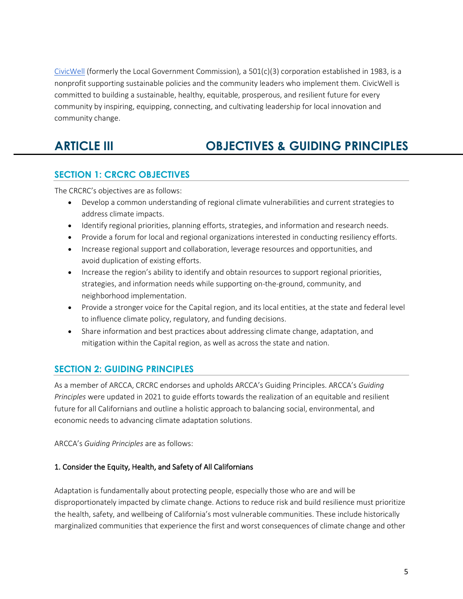CivicWell (formerly the Local Government Commission), a  $501(c)(3)$  corporation established in 1983, is a nonprofit supporting sustainable policies and the community leaders who implement them. CivicWell is committed to building a sustainable, healthy, equitable, prosperous, and resilient future for every community by inspiring, equipping, connecting, and cultivating leadership for local innovation and community change.

# **ARTICLE III OBJECTIVES & GUIDING PRINCIPLES**

### **SECTION 1: CRCRC OBJECTIVES**

The CRCRC's objectives are as follows:

- Develop a common understanding of regional climate vulnerabilities and current strategies to address climate impacts.
- Identify regional priorities, planning efforts, strategies, and information and research needs.
- Provide a forum for local and regional organizations interested in conducting resiliency efforts.
- Increase regional support and collaboration, leverage resources and opportunities, and avoid duplication of existing efforts.
- Increase the region's ability to identify and obtain resources to support regional priorities, strategies, and information needs while supporting on-the-ground, community, and neighborhood implementation.
- Provide a stronger voice for the Capital region, and its local entities, at the state and federal level to influence climate policy, regulatory, and funding decisions.
- Share information and best practices about addressing climate change, adaptation, and mitigation within the Capital region, as well as across the state and nation.

### **SECTION 2: GUIDING PRINCIPLES**

As a member of ARCCA, CRCRC endorses and upholds ARCCA's Guiding Principles. ARCCA's *Guiding Principles* were updated in 2021 to guide efforts towards the realization of an equitable and resilient future for all Californians and outline a holistic approach to balancing social, environmental, and economic needs to advancing climate adaptation solutions.

ARCCA's *Guiding Principles* are as follows:

### 1. Consider the Equity, Health, and Safety of All Californians

Adaptation is fundamentally about protecting people, especially those who are and will be disproportionately impacted by climate change. Actions to reduce risk and build resilience must prioritize the health, safety, and wellbeing of California's most vulnerable communities. These include historically marginalized communities that experience the first and worst consequences of climate change and other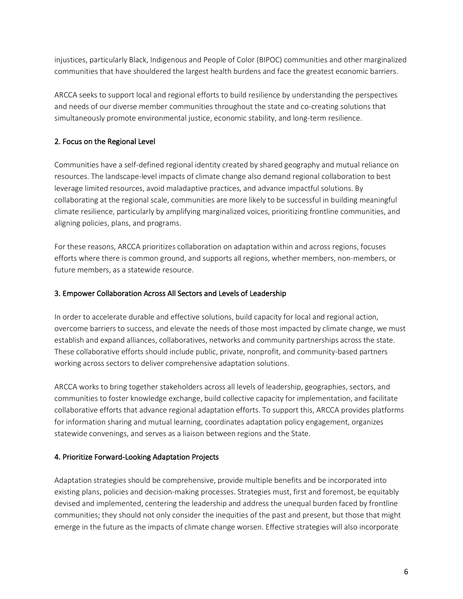injustices, particularly Black, Indigenous and People of Color (BIPOC) communities and other marginalized communities that have shouldered the largest health burdens and face the greatest economic barriers.

ARCCA seeks to support local and regional efforts to build resilience by understanding the perspectives and needs of our diverse member communities throughout the state and co-creating solutions that simultaneously promote environmental justice, economic stability, and long-term resilience.

### 2. Focus on the Regional Level

Communities have a self-defined regional identity created by shared geography and mutual reliance on resources. The landscape-level impacts of climate change also demand regional collaboration to best leverage limited resources, avoid maladaptive practices, and advance impactful solutions. By collaborating at the regional scale, communities are more likely to be successful in building meaningful climate resilience, particularly by amplifying marginalized voices, prioritizing frontline communities, and aligning policies, plans, and programs.

For these reasons, ARCCA prioritizes collaboration on adaptation within and across regions, focuses efforts where there is common ground, and supports all regions, whether members, non-members, or future members, as a statewide resource.

### 3. Empower Collaboration Across All Sectors and Levels of Leadership

In order to accelerate durable and effective solutions, build capacity for local and regional action, overcome barriers to success, and elevate the needs of those most impacted by climate change, we must establish and expand alliances, collaboratives, networks and community partnerships across the state. These collaborative efforts should include public, private, nonprofit, and community-based partners working across sectors to deliver comprehensive adaptation solutions.

ARCCA works to bring together stakeholders across all levels of leadership, geographies, sectors, and communities to foster knowledge exchange, build collective capacity for implementation, and facilitate collaborative efforts that advance regional adaptation efforts. To support this, ARCCA provides platforms for information sharing and mutual learning, coordinates adaptation policy engagement, organizes statewide convenings, and serves as a liaison between regions and the State.

### 4. Prioritize Forward-Looking Adaptation Projects

Adaptation strategies should be comprehensive, provide multiple benefits and be incorporated into existing plans, policies and decision-making processes. Strategies must, first and foremost, be equitably devised and implemented, centering the leadership and address the unequal burden faced by frontline communities; they should not only consider the inequities of the past and present, but those that might emerge in the future as the impacts of climate change worsen. Effective strategies will also incorporate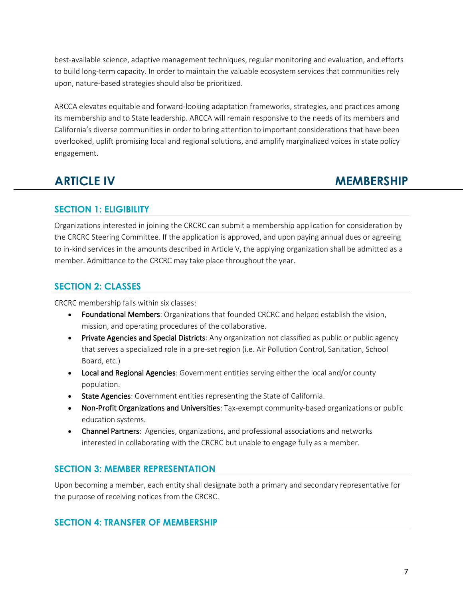best-available science, adaptive management techniques, regular monitoring and evaluation, and efforts to build long-term capacity. In order to maintain the valuable ecosystem services that communities rely upon, nature-based strategies should also be prioritized.

ARCCA elevates equitable and forward-looking adaptation frameworks, strategies, and practices among its membership and to State leadership. ARCCA will remain responsive to the needs of its members and California's diverse communities in order to bring attention to important considerations that have been overlooked, uplift promising local and regional solutions, and amplify marginalized voices in state policy engagement.

# **ARTICLE IV MEMBERSHIP**

### **SECTION 1: ELIGIBILITY**

Organizations interested in joining the CRCRC can submit a membership application for consideration by the CRCRC Steering Committee. If the application is approved, and upon paying annual dues or agreeing to in-kind services in the amounts described in Article V, the applying organization shall be admitted as a member. Admittance to the CRCRC may take place throughout the year.

### **SECTION 2: CLASSES**

CRCRC membership falls within six classes:

- Foundational Members: Organizations that founded CRCRC and helped establish the vision, mission, and operating procedures of the collaborative.
- Private Agencies and Special Districts: Any organization not classified as public or public agency that serves a specialized role in a pre-set region (i.e. Air Pollution Control, Sanitation, School Board, etc.)
- Local and Regional Agencies: Government entities serving either the local and/or county population.
- State Agencies: Government entities representing the State of California.
- Non-Profit Organizations and Universities: Tax-exempt community-based organizations or public education systems.
- Channel Partners: Agencies, organizations, and professional associations and networks interested in collaborating with the CRCRC but unable to engage fully as a member.

### **SECTION 3: MEMBER REPRESENTATION**

Upon becoming a member, each entity shall designate both a primary and secondary representative for the purpose of receiving notices from the CRCRC.

### **SECTION 4: TRANSFER OF MEMBERSHIP**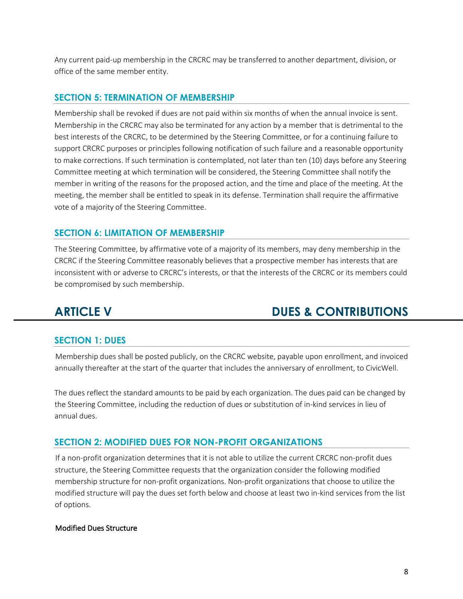Any current paid-up membership in the CRCRC may be transferred to another department, division, or office of the same member entity.

### **SECTION 5: TERMINATION OF MEMBERSHIP**

Membership shall be revoked if dues are not paid within six months of when the annual invoice is sent. Membership in the CRCRC may also be terminated for any action by a member that is detrimental to the best interests of the CRCRC, to be determined by the Steering Committee, or for a continuing failure to support CRCRC purposes or principles following notification of such failure and a reasonable opportunity to make corrections. If such termination is contemplated, not later than ten (10) days before any Steering Committee meeting at which termination will be considered, the Steering Committee shall notify the member in writing of the reasons for the proposed action, and the time and place of the meeting. At the meeting, the member shall be entitled to speak in its defense. Termination shall require the affirmative vote of a majority of the Steering Committee.

### **SECTION 6: LIMITATION OF MEMBERSHIP**

The Steering Committee, by affirmative vote of a majority of its members, may deny membership in the CRCRC if the Steering Committee reasonably believes that a prospective member has interests that are inconsistent with or adverse to CRCRC's interests, or that the interests of the CRCRC or its members could be compromised by such membership.

# **ARTICLE V DUES & CONTRIBUTIONS**

### **SECTION 1: DUES**

Membership dues shall be posted publicly, on the CRCRC website, payable upon enrollment, and invoiced annually thereafter at the start of the quarter that includes the anniversary of enrollment, to CivicWell.

The dues reflect the standard amounts to be paid by each organization. The dues paid can be changed by the Steering Committee, including the reduction of dues or substitution of in-kind services in lieu of annual dues.

### **SECTION 2: MODIFIED DUES FOR NON-PROFIT ORGANIZATIONS**

If a non-profit organization determines that it is not able to utilize the current CRCRC non-profit dues structure, the Steering Committee requests that the organization consider the following modified membership structure for non-profit organizations. Non-profit organizations that choose to utilize the modified structure will pay the dues set forth below and choose at least two in-kind services from the list of options.

### Modified Dues Structure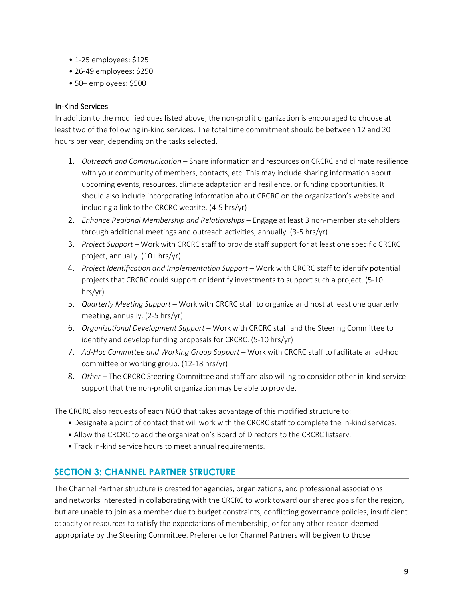- 1-25 employees: \$125
- 26-49 employees: \$250
- 50+ employees: \$500

### In-Kind Services

In addition to the modified dues listed above, the non-profit organization is encouraged to choose at least two of the following in-kind services. The total time commitment should be between 12 and 20 hours per year, depending on the tasks selected.

- 1. *Outreach and Communication* Share information and resources on CRCRC and climate resilience with your community of members, contacts, etc. This may include sharing information about upcoming events, resources, climate adaptation and resilience, or funding opportunities. It should also include incorporating information about CRCRC on the organization's website and including a link to the CRCRC website. (4-5 hrs/yr)
- 2. *Enhance Regional Membership and Relationships* Engage at least 3 non-member stakeholders through additional meetings and outreach activities, annually. (3-5 hrs/yr)
- 3. *Project Support* Work with CRCRC staff to provide staff support for at least one specific CRCRC project, annually. (10+ hrs/yr)
- 4. *Project Identification and Implementation Support* Work with CRCRC staff to identify potential projects that CRCRC could support or identify investments to support such a project. (5-10 hrs/yr)
- 5. *Quarterly Meeting Support* Work with CRCRC staff to organize and host at least one quarterly meeting, annually. (2-5 hrs/yr)
- 6. *Organizational Development Support* Work with CRCRC staff and the Steering Committee to identify and develop funding proposals for CRCRC. (5-10 hrs/yr)
- 7. *Ad-Hoc Committee and Working Group Support* Work with CRCRC staff to facilitate an ad-hoc committee or working group. (12-18 hrs/yr)
- 8. *Other* The CRCRC Steering Committee and staff are also willing to consider other in-kind service support that the non-profit organization may be able to provide.

The CRCRC also requests of each NGO that takes advantage of this modified structure to:

- Designate a point of contact that will work with the CRCRC staff to complete the in-kind services.
- Allow the CRCRC to add the organization's Board of Directors to the CRCRC listserv.
- Track in-kind service hours to meet annual requirements.

### **SECTION 3: CHANNEL PARTNER STRUCTURE**

The Channel Partner structure is created for agencies, organizations, and professional associations and networks interested in collaborating with the CRCRC to work toward our shared goals for the region, but are unable to join as a member due to budget constraints, conflicting governance policies, insufficient capacity or resources to satisfy the expectations of membership, or for any other reason deemed appropriate by the Steering Committee. Preference for Channel Partners will be given to those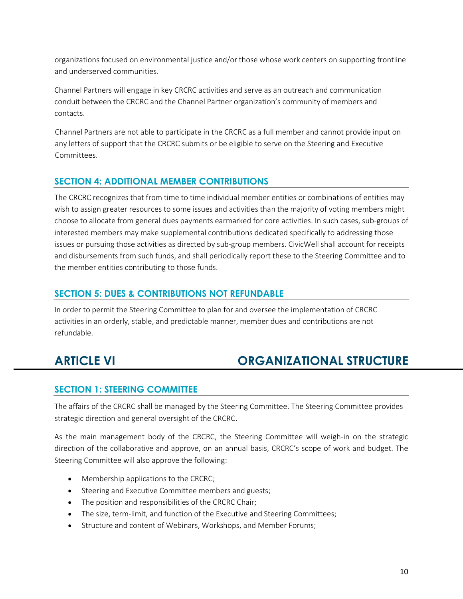organizations focused on environmental justice and/or those whose work centers on supporting frontline and underserved communities.

Channel Partners will engage in key CRCRC activities and serve as an outreach and communication conduit between the CRCRC and the Channel Partner organization's community of members and contacts.

Channel Partners are not able to participate in the CRCRC as a full member and cannot provide input on any letters of support that the CRCRC submits or be eligible to serve on the Steering and Executive Committees.

### **SECTION 4: ADDITIONAL MEMBER CONTRIBUTIONS**

The CRCRC recognizes that from time to time individual member entities or combinations of entities may wish to assign greater resources to some issues and activities than the majority of voting members might choose to allocate from general dues payments earmarked for core activities. In such cases, sub-groups of interested members may make supplemental contributions dedicated specifically to addressing those issues or pursuing those activities as directed by sub-group members. CivicWell shall account for receipts and disbursements from such funds, and shall periodically report these to the Steering Committee and to the member entities contributing to those funds.

### **SECTION 5: DUES & CONTRIBUTIONS NOT REFUNDABLE**

In order to permit the Steering Committee to plan for and oversee the implementation of CRCRC activities in an orderly, stable, and predictable manner, member dues and contributions are not refundable.

# **ARTICLE VI ORGANIZATIONAL STRUCTURE**

### **SECTION 1: STEERING COMMITTEE**

The affairs of the CRCRC shall be managed by the Steering Committee. The Steering Committee provides strategic direction and general oversight of the CRCRC.

As the main management body of the CRCRC, the Steering Committee will weigh-in on the strategic direction of the collaborative and approve, on an annual basis, CRCRC's scope of work and budget. The Steering Committee will also approve the following:

- Membership applications to the CRCRC;
- Steering and Executive Committee members and guests;
- The position and responsibilities of the CRCRC Chair;
- The size, term-limit, and function of the Executive and Steering Committees;
- Structure and content of Webinars, Workshops, and Member Forums;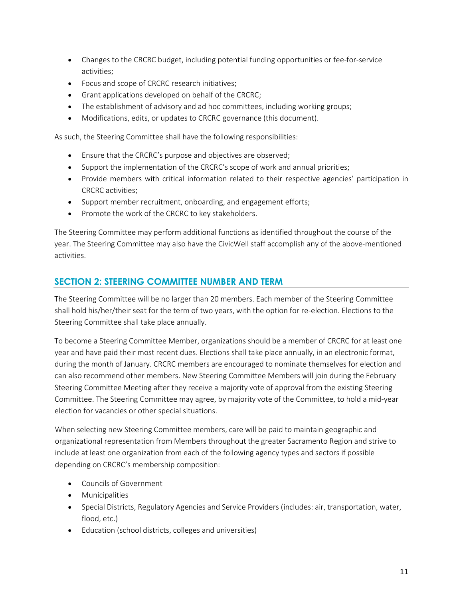- Changes to the CRCRC budget, including potential funding opportunities or fee-for-service activities;
- Focus and scope of CRCRC research initiatives;
- Grant applications developed on behalf of the CRCRC;
- The establishment of advisory and ad hoc committees, including working groups;
- Modifications, edits, or updates to CRCRC governance (this document).

As such, the Steering Committee shall have the following responsibilities:

- Ensure that the CRCRC's purpose and objectives are observed;
- Support the implementation of the CRCRC's scope of work and annual priorities;
- Provide members with critical information related to their respective agencies' participation in CRCRC activities;
- Support member recruitment, onboarding, and engagement efforts;
- Promote the work of the CRCRC to key stakeholders.

The Steering Committee may perform additional functions as identified throughout the course of the year. The Steering Committee may also have the CivicWell staff accomplish any of the above-mentioned activities.

### **SECTION 2: STEERING COMMITTEE NUMBER AND TERM**

The Steering Committee will be no larger than 20 members. Each member of the Steering Committee shall hold his/her/their seat for the term of two years, with the option for re-election. Elections to the Steering Committee shall take place annually.

To become a Steering Committee Member, organizations should be a member of CRCRC for at least one year and have paid their most recent dues. Elections shall take place annually, in an electronic format, during the month of January. CRCRC members are encouraged to nominate themselves for election and can also recommend other members. New Steering Committee Members will join during the February Steering Committee Meeting after they receive a majority vote of approval from the existing Steering Committee. The Steering Committee may agree, by majority vote of the Committee, to hold a mid-year election for vacancies or other special situations.

When selecting new Steering Committee members, care will be paid to maintain geographic and organizational representation from Members throughout the greater Sacramento Region and strive to include at least one organization from each of the following agency types and sectors if possible depending on CRCRC's membership composition:

- Councils of Government
- Municipalities
- Special Districts, Regulatory Agencies and Service Providers (includes: air, transportation, water, flood, etc.)
- Education (school districts, colleges and universities)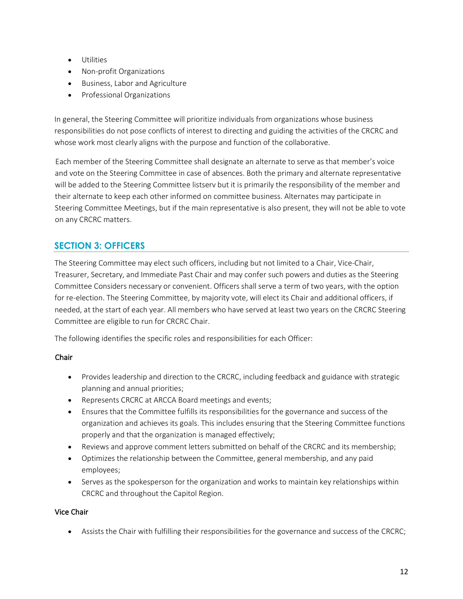- Utilities
- Non-profit Organizations
- Business, Labor and Agriculture
- Professional Organizations

In general, the Steering Committee will prioritize individuals from organizations whose business responsibilities do not pose conflicts of interest to directing and guiding the activities of the CRCRC and whose work most clearly aligns with the purpose and function of the collaborative.

Each member of the Steering Committee shall designate an alternate to serve as that member's voice and vote on the Steering Committee in case of absences. Both the primary and alternate representative will be added to the Steering Committee listserv but it is primarily the responsibility of the member and their alternate to keep each other informed on committee business. Alternates may participate in Steering Committee Meetings, but if the main representative is also present, they will not be able to vote on any CRCRC matters.

### **SECTION 3: OFFICERS**

The Steering Committee may elect such officers, including but not limited to a Chair, Vice-Chair, Treasurer, Secretary, and Immediate Past Chair and may confer such powers and duties as the Steering Committee Considers necessary or convenient. Officers shall serve a term of two years, with the option for re-election. The Steering Committee, by majority vote, will elect its Chair and additional officers, if needed, at the start of each year. All members who have served at least two years on the CRCRC Steering Committee are eligible to run for CRCRC Chair.

The following identifies the specific roles and responsibilities for each Officer:

### Chair

- Provides leadership and direction to the CRCRC, including feedback and guidance with strategic planning and annual priorities;
- Represents CRCRC at ARCCA Board meetings and events;
- Ensures that the Committee fulfills its responsibilities for the governance and success of the organization and achieves its goals. This includes ensuring that the Steering Committee functions properly and that the organization is managed effectively;
- Reviews and approve comment letters submitted on behalf of the CRCRC and its membership;
- Optimizes the relationship between the Committee, general membership, and any paid employees;
- Serves as the spokesperson for the organization and works to maintain key relationships within CRCRC and throughout the Capitol Region.

### Vice Chair

• Assists the Chair with fulfilling their responsibilities for the governance and success of the CRCRC;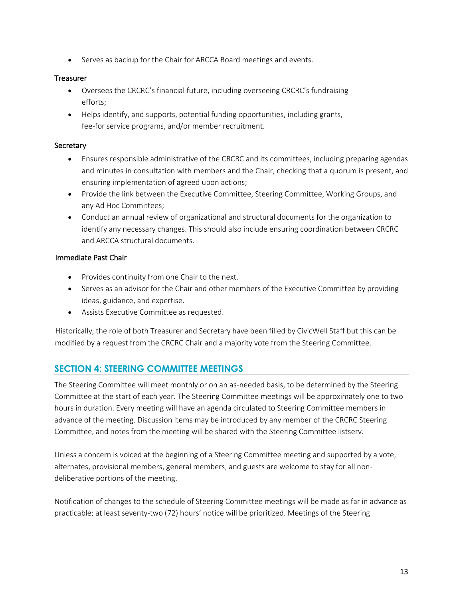• Serves as backup for the Chair for ARCCA Board meetings and events.

### **Treasurer**

- Oversees the CRCRC's financial future, including overseeing CRCRC's fundraising efforts;
- Helps identify, and supports, potential funding opportunities, including grants, fee-for service programs, and/or member recruitment.

### **Secretary**

- Ensures responsible administrative of the CRCRC and its committees, including preparing agendas and minutes in consultation with members and the Chair, checking that a quorum is present, and ensuring implementation of agreed upon actions;
- Provide the link between the Executive Committee, Steering Committee, Working Groups, and any Ad Hoc Committees;
- Conduct an annual review of organizational and structural documents for the organization to identify any necessary changes. This should also include ensuring coordination between CRCRC and ARCCA structural documents.

### Immediate Past Chair

- Provides continuity from one Chair to the next.
- Serves as an advisor for the Chair and other members of the Executive Committee by providing ideas, guidance, and expertise.
- Assists Executive Committee as requested.

Historically, the role of both Treasurer and Secretary have been filled by CivicWell Staff but this can be modified by a request from the CRCRC Chair and a majority vote from the Steering Committee.

### **SECTION 4: STEERING COMMITTEE MEETINGS**

The Steering Committee will meet monthly or on an as-needed basis, to be determined by the Steering Committee at the start of each year. The Steering Committee meetings will be approximately one to two hours in duration. Every meeting will have an agenda circulated to Steering Committee members in advance of the meeting. Discussion items may be introduced by any member of the CRCRC Steering Committee, and notes from the meeting will be shared with the Steering Committee listserv.

Unless a concern is voiced at the beginning of a Steering Committee meeting and supported by a vote, alternates, provisional members, general members, and guests are welcome to stay for all nondeliberative portions of the meeting.

Notification of changes to the schedule of Steering Committee meetings will be made as far in advance as practicable; at least seventy-two (72) hours' notice will be prioritized. Meetings of the Steering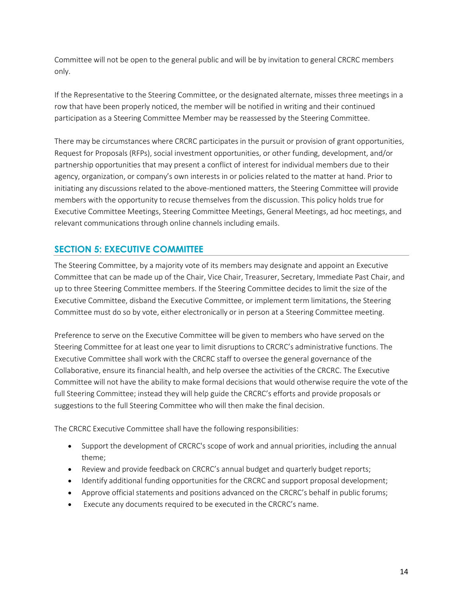Committee will not be open to the general public and will be by invitation to general CRCRC members only.

If the Representative to the Steering Committee, or the designated alternate, misses three meetings in a row that have been properly noticed, the member will be notified in writing and their continued participation as a Steering Committee Member may be reassessed by the Steering Committee.

There may be circumstances where CRCRC participates in the pursuit or provision of grant opportunities, Request for Proposals (RFPs), social investment opportunities, or other funding, development, and/or partnership opportunities that may present a conflict of interest for individual members due to their agency, organization, or company's own interests in or policies related to the matter at hand. Prior to initiating any discussions related to the above-mentioned matters, the Steering Committee will provide members with the opportunity to recuse themselves from the discussion. This policy holds true for Executive Committee Meetings, Steering Committee Meetings, General Meetings, ad hoc meetings, and relevant communications through online channels including emails.

### **SECTION 5: EXECUTIVE COMMITTEE**

The Steering Committee, by a majority vote of its members may designate and appoint an Executive Committee that can be made up of the Chair, Vice Chair, Treasurer, Secretary, Immediate Past Chair, and up to three Steering Committee members. If the Steering Committee decides to limit the size of the Executive Committee, disband the Executive Committee, or implement term limitations, the Steering Committee must do so by vote, either electronically or in person at a Steering Committee meeting.

Preference to serve on the Executive Committee will be given to members who have served on the Steering Committee for at least one year to limit disruptions to CRCRC's administrative functions. The Executive Committee shall work with the CRCRC staff to oversee the general governance of the Collaborative, ensure its financial health, and help oversee the activities of the CRCRC. The Executive Committee will not have the ability to make formal decisions that would otherwise require the vote of the full Steering Committee; instead they will help guide the CRCRC's efforts and provide proposals or suggestions to the full Steering Committee who will then make the final decision.

The CRCRC Executive Committee shall have the following responsibilities:

- Support the development of CRCRC's scope of work and annual priorities, including the annual theme;
- Review and provide feedback on CRCRC's annual budget and quarterly budget reports;
- Identify additional funding opportunities for the CRCRC and support proposal development;
- Approve official statements and positions advanced on the CRCRC's behalf in public forums;
- Execute any documents required to be executed in the CRCRC's name.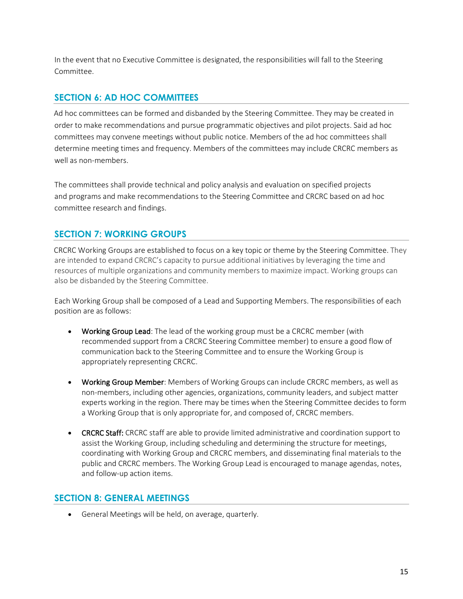In the event that no Executive Committee is designated, the responsibilities will fall to the Steering Committee.

### **SECTION 6: AD HOC COMMITTEES**

Ad hoc committees can be formed and disbanded by the Steering Committee. They may be created in order to make recommendations and pursue programmatic objectives and pilot projects. Said ad hoc committees may convene meetings without public notice. Members of the ad hoc committees shall determine meeting times and frequency. Members of the committees may include CRCRC members as well as non-members.

The committees shall provide technical and policy analysis and evaluation on specified projects and programs and make recommendations to the Steering Committee and CRCRC based on ad hoc committee research and findings.

### **SECTION 7: WORKING GROUPS**

CRCRC Working Groups are established to focus on a key topic or theme by the Steering Committee. They are intended to expand CRCRC's capacity to pursue additional initiatives by leveraging the time and resources of multiple organizations and community members to maximize impact. Working groups can also be disbanded by the Steering Committee.

Each Working Group shall be composed of a Lead and Supporting Members. The responsibilities of each position are as follows:

- Working Group Lead: The lead of the working group must be a CRCRC member (with recommended support from a CRCRC Steering Committee member) to ensure a good flow of communication back to the Steering Committee and to ensure the Working Group is appropriately representing CRCRC.
- Working Group Member: Members of Working Groups can include CRCRC members, as well as non-members, including other agencies, organizations, community leaders, and subject matter experts working in the region. There may be times when the Steering Committee decides to form a Working Group that is only appropriate for, and composed of, CRCRC members.
- **CRCRC Staff:** CRCRC staff are able to provide limited administrative and coordination support to assist the Working Group, including scheduling and determining the structure for meetings, coordinating with Working Group and CRCRC members, and disseminating final materials to the public and CRCRC members. The Working Group Lead is encouraged to manage agendas, notes, and follow-up action items.

### **SECTION 8: GENERAL MEETINGS**

• General Meetings will be held, on average, quarterly.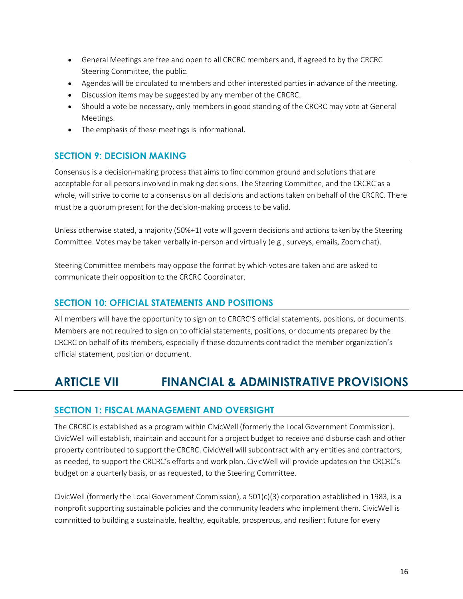- General Meetings are free and open to all CRCRC members and, if agreed to by the CRCRC Steering Committee, the public.
- Agendas will be circulated to members and other interested parties in advance of the meeting.
- Discussion items may be suggested by any member of the CRCRC.
- Should a vote be necessary, only members in good standing of the CRCRC may vote at General Meetings.
- The emphasis of these meetings is informational.

### **SECTION 9: DECISION MAKING**

Consensus is a decision-making process that aims to find common ground and solutions that are acceptable for all persons involved in making decisions. The Steering Committee, and the CRCRC as a whole, will strive to come to a consensus on all decisions and actions taken on behalf of the CRCRC. There must be a quorum present for the decision-making process to be valid.

Unless otherwise stated, a majority (50%+1) vote will govern decisions and actions taken by the Steering Committee. Votes may be taken verbally in-person and virtually (e.g., surveys, emails, Zoom chat).

Steering Committee members may oppose the format by which votes are taken and are asked to communicate their opposition to the CRCRC Coordinator.

### **SECTION 10: OFFICIAL STATEMENTS AND POSITIONS**

All members will have the opportunity to sign on to CRCRC'S official statements, positions, or documents. Members are not required to sign on to official statements, positions, or documents prepared by the CRCRC on behalf of its members, especially if these documents contradict the member organization's official statement, position or document.

# **ARTICLE VII FINANCIAL & ADMINISTRATIVE PROVISIONS**

### **SECTION 1: FISCAL MANAGEMENT AND OVERSIGHT**

The CRCRC is established as a program within CivicWell (formerly the Local Government Commission). CivicWell will establish, maintain and account for a project budget to receive and disburse cash and other property contributed to support the CRCRC. CivicWell will subcontract with any entities and contractors, as needed, to support the CRCRC's efforts and work plan. CivicWell will provide updates on the CRCRC's budget on a quarterly basis, or as requested, to the Steering Committee.

CivicWell (formerly the Local Government Commission), a 501(c)(3) corporation established in 1983, is a nonprofit supporting sustainable policies and the community leaders who implement them. CivicWell is committed to building a sustainable, healthy, equitable, prosperous, and resilient future for every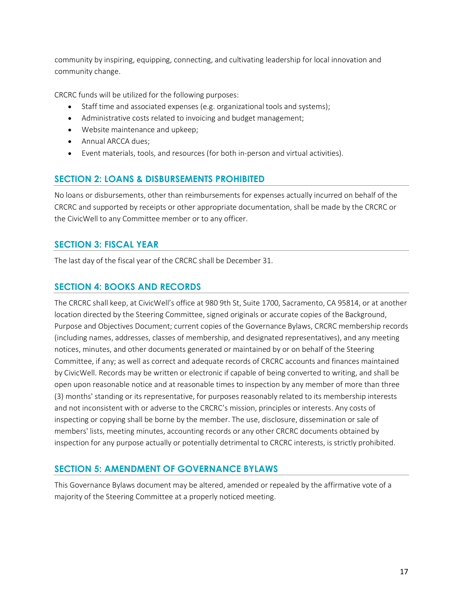community by inspiring, equipping, connecting, and cultivating leadership for local innovation and community change.

CRCRC funds will be utilized for the following purposes:

- Staff time and associated expenses (e.g. organizational tools and systems);
- Administrative costs related to invoicing and budget management;
- Website maintenance and upkeep;
- Annual ARCCA dues;
- Event materials, tools, and resources (for both in-person and virtual activities).

### **SECTION 2: LOANS & DISBURSEMENTS PROHIBITED**

No loans or disbursements, other than reimbursements for expenses actually incurred on behalf of the CRCRC and supported by receipts or other appropriate documentation, shall be made by the CRCRC or the CivicWell to any Committee member or to any officer.

### **SECTION 3: FISCAL YEAR**

The last day of the fiscal year of the CRCRC shall be December 31.

### **SECTION 4: BOOKS AND RECORDS**

The CRCRC shall keep, at CivicWell's office at 980 9th St, Suite 1700, Sacramento, CA 95814, or at another location directed by the Steering Committee, signed originals or accurate copies of the Background, Purpose and Objectives Document; current copies of the Governance Bylaws, CRCRC membership records (including names, addresses, classes of membership, and designated representatives), and any meeting notices, minutes, and other documents generated or maintained by or on behalf of the Steering Committee, if any; as well as correct and adequate records of CRCRC accounts and finances maintained by CivicWell. Records may be written or electronic if capable of being converted to writing, and shall be open upon reasonable notice and at reasonable times to inspection by any member of more than three (3) months' standing or its representative, for purposes reasonably related to its membership interests and not inconsistent with or adverse to the CRCRC's mission, principles or interests. Any costs of inspecting or copying shall be borne by the member. The use, disclosure, dissemination or sale of members' lists, meeting minutes, accounting records or any other CRCRC documents obtained by inspection for any purpose actually or potentially detrimental to CRCRC interests, is strictly prohibited.

### **SECTION 5: AMENDMENT OF GOVERNANCE BYLAWS**

This Governance Bylaws document may be altered, amended or repealed by the affirmative vote of a majority of the Steering Committee at a properly noticed meeting.